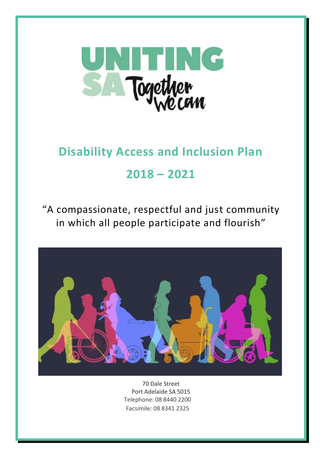

# **Disability Access and Inclusion Plan 2018 – 2021**

"A compassionate, respectful and just community in which all people participate and flourish"



70 Dale Street Port Adelaide SA 5015 Telephone: 08 8440 2200 Facsimile: 08 8341 2325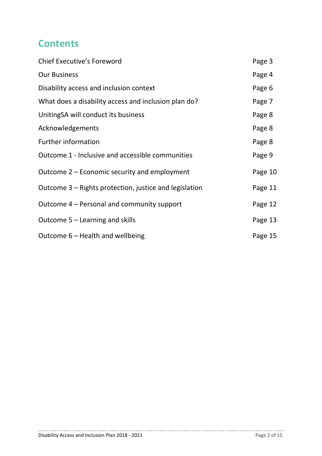## **Contents**

| <b>Chief Executive's Foreword</b>                      | Page 3  |
|--------------------------------------------------------|---------|
| <b>Our Business</b>                                    | Page 4  |
| Disability access and inclusion context                | Page 6  |
| What does a disability access and inclusion plan do?   | Page 7  |
| UnitingSA will conduct its business                    | Page 8  |
| Acknowledgements                                       | Page 8  |
| <b>Further information</b>                             | Page 8  |
| Outcome 1 - Inclusive and accessible communities       | Page 9  |
| Outcome 2 – Economic security and employment           | Page 10 |
| Outcome 3 – Rights protection, justice and legislation | Page 11 |
| Outcome 4 – Personal and community support             | Page 12 |
| Outcome $5 -$ Learning and skills                      | Page 13 |
| Outcome 6 - Health and wellbeing                       | Page 15 |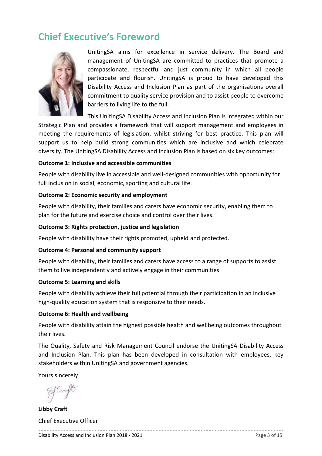## **Chief Executive's Foreword**



UnitingSA aims for excellence in service delivery. The Board and management of UnitingSA are committed to practices that promote a compassionate, respectful and just community in which all people participate and flourish. UnitingSA is proud to have developed this Disability Access and Inclusion Plan as part of the organisations overall commitment to quality service provision and to assist people to overcome barriers to living life to the full.

This UnitingSA Disability Access and Inclusion Plan is integrated within our Strategic Plan and provides a framework that will support management and employees in meeting the requirements of legislation, whilst striving for best practice. This plan will support us to help build strong communities which are inclusive and which celebrate diversity. The UnitingSA Disability Access and Inclusion Plan is based on six key outcomes:

#### **Outcome 1: Inclusive and accessible communities**

People with disability live in accessible and well-designed communities with opportunity for full inclusion in social, economic, sporting and cultural life.

#### **Outcome 2: Economic security and employment**

People with disability, their families and carers have economic security, enabling them to plan for the future and exercise choice and control over their lives.

#### **Outcome 3: Rights protection, justice and legislation**

People with disability have their rights promoted, upheld and protected.

#### **Outcome 4: Personal and community support**

People with disability, their families and carers have access to a range of supports to assist them to live independently and actively engage in their communities.

#### **Outcome 5: Learning and skills**

People with disability achieve their full potential through their participation in an inclusive high-quality education system that is responsive to their needs.

#### **Outcome 6: Health and wellbeing**

People with disability attain the highest possible health and wellbeing outcomes throughout their lives.

The Quality, Safety and Risk Management Council endorse the UnitingSA Disability Access and Inclusion Plan. This plan has been developed in consultation with employees, key stakeholders within UnitingSA and government agencies.

Yours sincerely

**Libby Craft** Chief Executive Officer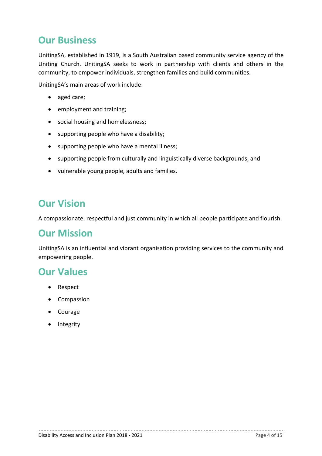## **Our Business**

UnitingSA, established in 1919, is a South Australian based community service agency of the Uniting Church. UnitingSA seeks to work in partnership with clients and others in the community, to empower individuals, strengthen families and build communities.

UnitingSA's main areas of work include:

- aged care;
- employment and training;
- social housing and homelessness;
- supporting people who have a disability;
- supporting people who have a mental illness;
- supporting people from culturally and linguistically diverse backgrounds, and
- vulnerable young people, adults and families.

## **Our Vision**

A compassionate, respectful and just community in which all people participate and flourish.

### **Our Mission**

UnitingSA is an influential and vibrant organisation providing services to the community and empowering people.

### **Our Values**

- Respect
- Compassion
- Courage
- Integrity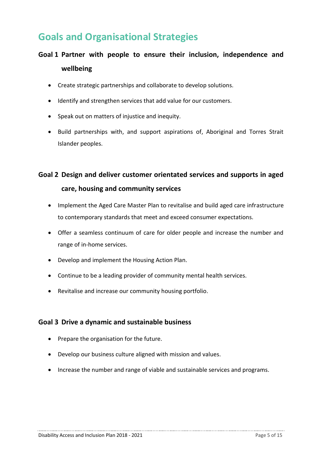## **Goals and Organisational Strategies**

### **Goal 1 Partner with people to ensure their inclusion, independence and wellbeing**

- Create strategic partnerships and collaborate to develop solutions.
- Identify and strengthen services that add value for our customers.
- Speak out on matters of injustice and inequity.
- Build partnerships with, and support aspirations of, Aboriginal and Torres Strait Islander peoples.

### **Goal 2 Design and deliver customer orientated services and supports in aged care, housing and community services**

- Implement the Aged Care Master Plan to revitalise and build aged care infrastructure to contemporary standards that meet and exceed consumer expectations.
- Offer a seamless continuum of care for older people and increase the number and range of in-home services.
- Develop and implement the Housing Action Plan.
- Continue to be a leading provider of community mental health services.
- Revitalise and increase our community housing portfolio.

#### **Goal 3 Drive a dynamic and sustainable business**

- Prepare the organisation for the future.
- Develop our business culture aligned with mission and values.
- Increase the number and range of viable and sustainable services and programs.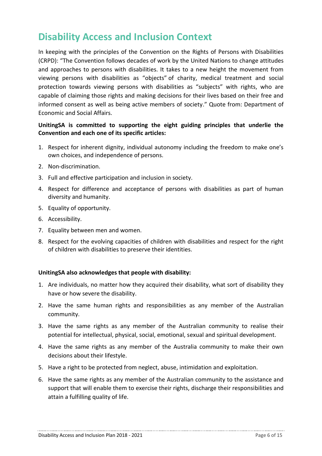## **Disability Access and Inclusion Context**

In keeping with the principles of the Convention on the Rights of Persons with Disabilities (CRPD): "The Convention follows decades of work by the United Nations to change attitudes and approaches to persons with disabilities. It takes to a new height the movement from viewing persons with disabilities as "objects" of charity, medical treatment and social protection towards viewing persons with disabilities as "subjects" with rights, who are capable of claiming those rights and making decisions for their lives based on their free and informed consent as well as being active members of society." Quote from: Department of Economic and Social Affairs.

#### **UnitingSA is committed to supporting the eight guiding principles that underlie the Convention and each one of its specific articles:**

- 1. Respect for inherent dignity, individual autonomy including the freedom to make one's own choices, and independence of persons.
- 2. Non-discrimination.
- 3. Full and effective participation and inclusion in society.
- 4. Respect for difference and acceptance of persons with disabilities as part of human diversity and humanity.
- 5. Equality of opportunity.
- 6. Accessibility.
- 7. Equality between men and women.
- 8. Respect for the evolving capacities of children with disabilities and respect for the right of children with disabilities to preserve their identities.

#### **UnitingSA also acknowledges that people with disability:**

- 1. Are individuals, no matter how they acquired their disability, what sort of disability they have or how severe the disability.
- 2. Have the same human rights and responsibilities as any member of the Australian community.
- 3. Have the same rights as any member of the Australian community to realise their potential for intellectual, physical, social, emotional, sexual and spiritual development.
- 4. Have the same rights as any member of the Australia community to make their own decisions about their lifestyle.
- 5. Have a right to be protected from neglect, abuse, intimidation and exploitation.
- 6. Have the same rights as any member of the Australian community to the assistance and support that will enable them to exercise their rights, discharge their responsibilities and attain a fulfilling quality of life.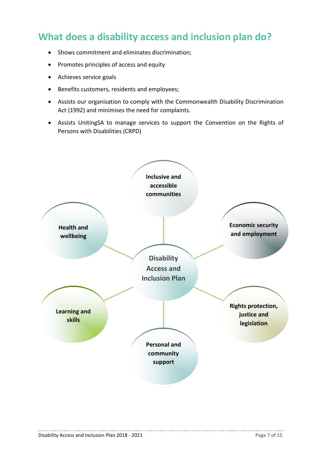## **What does a disability access and inclusion plan do?**

- Shows commitment and eliminates discrimination;
- Promotes principles of access and equity
- Achieves service goals
- Benefits customers, residents and employees;
- Assists our organisation to comply with the Commonwealth Disability Discrimination Act (1992) and minimises the need for complaints.
- Assists UnitingSA to manage services to support the Convention on the Rights of Persons with Disabilities (CRPD)



...............................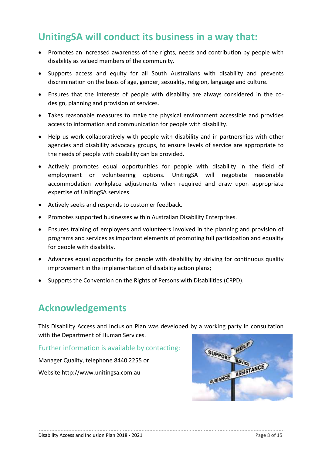### **UnitingSA will conduct its business in a way that:**

- Promotes an increased awareness of the rights, needs and contribution by people with disability as valued members of the community.
- Supports access and equity for all South Australians with disability and prevents discrimination on the basis of age, gender, sexuality, religion, language and culture.
- Ensures that the interests of people with disability are always considered in the codesign, planning and provision of services.
- Takes reasonable measures to make the physical environment accessible and provides access to information and communication for people with disability.
- Help us work collaboratively with people with disability and in partnerships with other agencies and disability advocacy groups, to ensure levels of service are appropriate to the needs of people with disability can be provided.
- Actively promotes equal opportunities for people with disability in the field of employment or volunteering options. UnitingSA will negotiate reasonable accommodation workplace adjustments when required and draw upon appropriate expertise of UnitingSA services.
- Actively seeks and responds to customer feedback.
- Promotes supported businesses within Australian Disability Enterprises.
- Ensures training of employees and volunteers involved in the planning and provision of programs and services as important elements of promoting full participation and equality for people with disability.
- Advances equal opportunity for people with disability by striving for continuous quality improvement in the implementation of disability action plans;
- Supports the Convention on the Rights of Persons with Disabilities (CRPD).

## **Acknowledgements**

This Disability Access and Inclusion Plan was developed by a working party in consultation with the Department of Human Services.

Further information is available by contacting:

Manager Quality, telephone 8440 2255 or Website http:/[/www.unitingsa.com.au](http://www.unitingsa.com.au/)

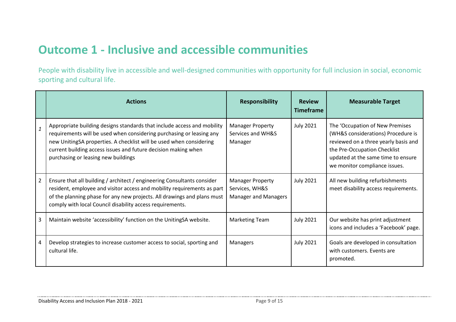## **Outcome 1 - Inclusive and accessible communities**

People with disability live in accessible and well-designed communities with opportunity for full inclusion in social, economic sporting and cultural life.

|              | <b>Actions</b>                                                                                                                                                                                                                                                                                                                  | <b>Responsibility</b>                                                    | <b>Review</b><br><b>Timeframe</b> | <b>Measurable Target</b>                                                                                                                                                                                             |
|--------------|---------------------------------------------------------------------------------------------------------------------------------------------------------------------------------------------------------------------------------------------------------------------------------------------------------------------------------|--------------------------------------------------------------------------|-----------------------------------|----------------------------------------------------------------------------------------------------------------------------------------------------------------------------------------------------------------------|
| $\mathbf{1}$ | Appropriate building designs standards that include access and mobility<br>requirements will be used when considering purchasing or leasing any<br>new UnitingSA properties. A checklist will be used when considering<br>current building access issues and future decision making when<br>purchasing or leasing new buildings | <b>Manager Property</b><br>Services and WH&S<br>Manager                  | <b>July 2021</b>                  | The 'Occupation of New Premises<br>(WH&S considerations) Procedure is<br>reviewed on a three yearly basis and<br>the Pre-Occupation Checklist<br>updated at the same time to ensure<br>we monitor compliance issues. |
| 2            | Ensure that all building / architect / engineering Consultants consider<br>resident, employee and visitor access and mobility requirements as part<br>of the planning phase for any new projects. All drawings and plans must<br>comply with local Council disability access requirements.                                      | <b>Manager Property</b><br>Services, WH&S<br><b>Manager and Managers</b> | <b>July 2021</b>                  | All new building refurbishments<br>meet disability access requirements.                                                                                                                                              |
| 3            | Maintain website 'accessibility' function on the UnitingSA website.                                                                                                                                                                                                                                                             | <b>Marketing Team</b>                                                    | <b>July 2021</b>                  | Our website has print adjustment<br>icons and includes a 'Facebook' page.                                                                                                                                            |
|              | Develop strategies to increase customer access to social, sporting and<br>cultural life.                                                                                                                                                                                                                                        | Managers                                                                 | <b>July 2021</b>                  | Goals are developed in consultation<br>with customers. Events are<br>promoted.                                                                                                                                       |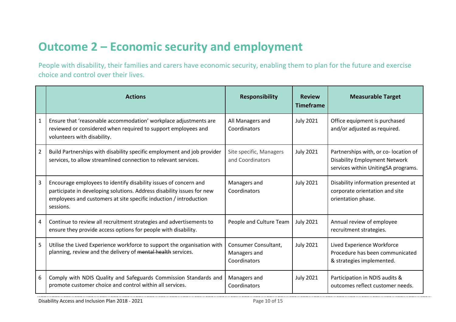## **Outcome 2 – Economic security and employment**

People with disability, their families and carers have economic security, enabling them to plan for the future and exercise choice and control over their lives.

|                | <b>Actions</b>                                                                                                                                                                                                               | <b>Responsibility</b>                                | <b>Review</b><br><b>Timeframe</b> | <b>Measurable Target</b>                                                                                             |
|----------------|------------------------------------------------------------------------------------------------------------------------------------------------------------------------------------------------------------------------------|------------------------------------------------------|-----------------------------------|----------------------------------------------------------------------------------------------------------------------|
| 1              | Ensure that 'reasonable accommodation' workplace adjustments are<br>reviewed or considered when required to support employees and<br>volunteers with disability.                                                             | All Managers and<br>Coordinators                     | <b>July 2021</b>                  | Office equipment is purchased<br>and/or adjusted as required.                                                        |
| $\overline{2}$ | Build Partnerships with disability specific employment and job provider<br>services, to allow streamlined connection to relevant services.                                                                                   | Site specific, Managers<br>and Coordinators          | <b>July 2021</b>                  | Partnerships with, or co- location of<br><b>Disability Employment Network</b><br>services within UnitingSA programs. |
| 3              | Encourage employees to identify disability issues of concern and<br>participate in developing solutions. Address disability issues for new<br>employees and customers at site specific induction / introduction<br>sessions. | Managers and<br>Coordinators                         | <b>July 2021</b>                  | Disability information presented at<br>corporate orientation and site<br>orientation phase.                          |
| 4              | Continue to review all recruitment strategies and advertisements to<br>ensure they provide access options for people with disability.                                                                                        | People and Culture Team                              | <b>July 2021</b>                  | Annual review of employee<br>recruitment strategies.                                                                 |
| 5              | Utilise the Lived Experience workforce to support the organisation with<br>planning, review and the delivery of mental health services.                                                                                      | Consumer Consultant,<br>Managers and<br>Coordinators | <b>July 2021</b>                  | Lived Experience Workforce<br>Procedure has been communicated<br>& strategies implemented.                           |
| 6              | Comply with NDIS Quality and Safeguards Commission Standards and<br>promote customer choice and control within all services.                                                                                                 | Managers and<br>Coordinators                         | <b>July 2021</b>                  | Participation in NDIS audits &<br>outcomes reflect customer needs.                                                   |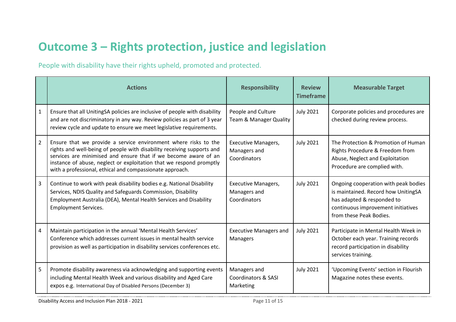## **Outcome 3 – Rights protection, justice and legislation**

People with disability have their rights upheld, promoted and protected.

|                | <b>Actions</b>                                                                                                                                                                                                                                                                                                                                  | <b>Responsibility</b>                                       | <b>Review</b><br><b>Timeframe</b> | <b>Measurable Target</b>                                                                                                                                                   |
|----------------|-------------------------------------------------------------------------------------------------------------------------------------------------------------------------------------------------------------------------------------------------------------------------------------------------------------------------------------------------|-------------------------------------------------------------|-----------------------------------|----------------------------------------------------------------------------------------------------------------------------------------------------------------------------|
| $\mathbf{1}$   | Ensure that all UnitingSA policies are inclusive of people with disability<br>and are not discriminatory in any way. Review policies as part of 3 year<br>review cycle and update to ensure we meet legislative requirements.                                                                                                                   | People and Culture<br>Team & Manager Quality                | <b>July 2021</b>                  | Corporate policies and procedures are<br>checked during review process.                                                                                                    |
| $\overline{2}$ | Ensure that we provide a service environment where risks to the<br>rights and well-being of people with disability receiving supports and<br>services are minimised and ensure that if we become aware of an<br>instance of abuse, neglect or exploitation that we respond promptly<br>with a professional, ethical and compassionate approach. | <b>Executive Managers,</b><br>Managers and<br>Coordinators  | <b>July 2021</b>                  | The Protection & Promotion of Human<br>Rights Procedure & Freedom from<br>Abuse, Neglect and Exploitation<br>Procedure are complied with.                                  |
| 3              | Continue to work with peak disability bodies e.g. National Disability<br>Services, NDIS Quality and Safeguards Commission, Disability<br>Employment Australia (DEA), Mental Health Services and Disability<br><b>Employment Services.</b>                                                                                                       | <b>Executive Managers,</b><br>Managers and<br>Coordinators  | <b>July 2021</b>                  | Ongoing cooperation with peak bodies<br>is maintained. Record how UnitingSA<br>has adapted & responded to<br>continuous improvement initiatives<br>from these Peak Bodies. |
| 4              | Maintain participation in the annual 'Mental Health Services'<br>Conference which addresses current issues in mental health service<br>provision as well as participation in disability services conferences etc.                                                                                                                               | <b>Executive Managers and</b><br>Managers                   | <b>July 2021</b>                  | Participate in Mental Health Week in<br>October each year. Training records<br>record participation in disability<br>services training.                                    |
| 5              | Promote disability awareness via acknowledging and supporting events<br>including Mental Health Week and various disability and Aged Care<br>expos e.g. International Day of Disabled Persons (December 3)                                                                                                                                      | Managers and<br><b>Coordinators &amp; SASI</b><br>Marketing | <b>July 2021</b>                  | 'Upcoming Events' section in Flourish<br>Magazine notes these events.                                                                                                      |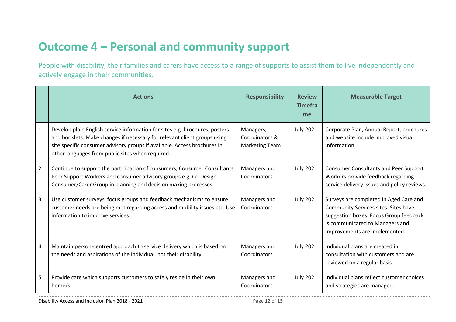## **Outcome 4 – Personal and community support**

People with disability, their families and carers have access to a range of supports to assist them to live independently and actively engage in their communities.

|                | <b>Actions</b>                                                                                                                                                                                                                                                                          | <b>Responsibility</b>                                | <b>Review</b><br><b>Timefra</b><br>me | <b>Measurable Target</b>                                                                                                                                                                     |
|----------------|-----------------------------------------------------------------------------------------------------------------------------------------------------------------------------------------------------------------------------------------------------------------------------------------|------------------------------------------------------|---------------------------------------|----------------------------------------------------------------------------------------------------------------------------------------------------------------------------------------------|
| $\mathbf{1}$   | Develop plain English service information for sites e.g. brochures, posters<br>and booklets. Make changes if necessary for relevant client groups using<br>site specific consumer advisory groups if available. Access brochures in<br>other languages from public sites when required. | Managers,<br>Coordinators &<br><b>Marketing Team</b> | <b>July 2021</b>                      | Corporate Plan, Annual Report, brochures<br>and website include improved visual<br>information.                                                                                              |
| $\overline{2}$ | Continue to support the participation of consumers, Consumer Consultants<br>Peer Support Workers and consumer advisory groups e.g. Co-Design<br>Consumer/Carer Group in planning and decision making processes.                                                                         | Managers and<br>Coordinators                         | <b>July 2021</b>                      | <b>Consumer Consultants and Peer Support</b><br>Workers provide feedback regarding<br>service delivery issues and policy reviews.                                                            |
| 3              | Use customer surveys, focus groups and feedback mechanisms to ensure<br>customer needs are being met regarding access and mobility issues etc. Use<br>information to improve services.                                                                                                  | Managers and<br>Coordinators                         | <b>July 2021</b>                      | Surveys are completed in Aged Care and<br>Community Services sites. Sites have<br>suggestion boxes. Focus Group feedback<br>is communicated to Managers and<br>improvements are implemented. |
| 4              | Maintain person-centred approach to service delivery which is based on<br>the needs and aspirations of the individual, not their disability.                                                                                                                                            | Managers and<br>Coordinators                         | <b>July 2021</b>                      | Individual plans are created in<br>consultation with customers and are<br>reviewed on a regular basis.                                                                                       |
| 5              | Provide care which supports customers to safely reside in their own<br>home/s.                                                                                                                                                                                                          | Managers and<br>Coordinators                         | <b>July 2021</b>                      | Individual plans reflect customer choices<br>and strategies are managed.                                                                                                                     |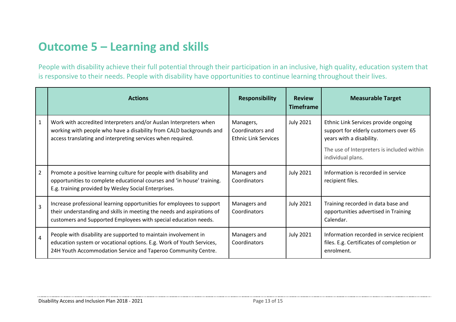## **Outcome 5 – Learning and skills**

People with disability achieve their full potential through their participation in an inclusive, high quality, education system that is responsive to their needs. People with disability have opportunities to continue learning throughout their lives.

|                | <b>Actions</b>                                                                                                                                                                                                     | <b>Responsibility</b>                                        | <b>Review</b><br><b>Timeframe</b> | <b>Measurable Target</b>                                                                                                                                                     |
|----------------|--------------------------------------------------------------------------------------------------------------------------------------------------------------------------------------------------------------------|--------------------------------------------------------------|-----------------------------------|------------------------------------------------------------------------------------------------------------------------------------------------------------------------------|
| 1              | Work with accredited Interpreters and/or Auslan Interpreters when<br>working with people who have a disability from CALD backgrounds and<br>access translating and interpreting services when required.            | Managers,<br>Coordinators and<br><b>Ethnic Link Services</b> | <b>July 2021</b>                  | Ethnic Link Services provide ongoing<br>support for elderly customers over 65<br>years with a disability.<br>The use of Interpreters is included within<br>individual plans. |
| $\overline{2}$ | Promote a positive learning culture for people with disability and<br>opportunities to complete educational courses and 'in house' training.<br>E.g. training provided by Wesley Social Enterprises.               | Managers and<br>Coordinators                                 | <b>July 2021</b>                  | Information is recorded in service<br>recipient files.                                                                                                                       |
| $\overline{3}$ | Increase professional learning opportunities for employees to support<br>their understanding and skills in meeting the needs and aspirations of<br>customers and Supported Employees with special education needs. | Managers and<br>Coordinators                                 | <b>July 2021</b>                  | Training recorded in data base and<br>opportunities advertised in Training<br>Calendar.                                                                                      |
| $\overline{4}$ | People with disability are supported to maintain involvement in<br>education system or vocational options. E.g. Work of Youth Services,<br>24H Youth Accommodation Service and Taperoo Community Centre.           | Managers and<br>Coordinators                                 | <b>July 2021</b>                  | Information recorded in service recipient<br>files. E.g. Certificates of completion or<br>enrolment.                                                                         |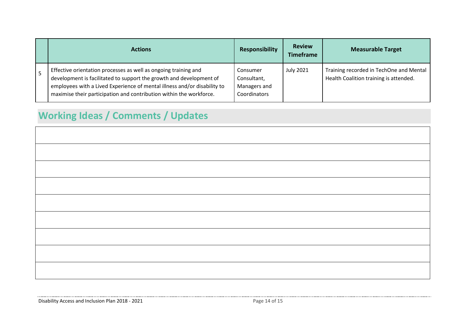| <b>Actions</b>                                                                                                                                                                                                                                                                            | <b>Responsibility</b>                                   | <b>Review</b><br><b>Timeframe</b> | <b>Measurable Target</b>                                                          |
|-------------------------------------------------------------------------------------------------------------------------------------------------------------------------------------------------------------------------------------------------------------------------------------------|---------------------------------------------------------|-----------------------------------|-----------------------------------------------------------------------------------|
| Effective orientation processes as well as ongoing training and<br>development is facilitated to support the growth and development of<br>employees with a Lived Experience of mental illness and/or disability to<br>maximise their participation and contribution within the workforce. | Consumer<br>Consultant,<br>Managers and<br>Coordinators | <b>July 2021</b>                  | Training recorded in TechOne and Mental<br>Health Coalition training is attended. |

## **Working Ideas / Comments / Updates**